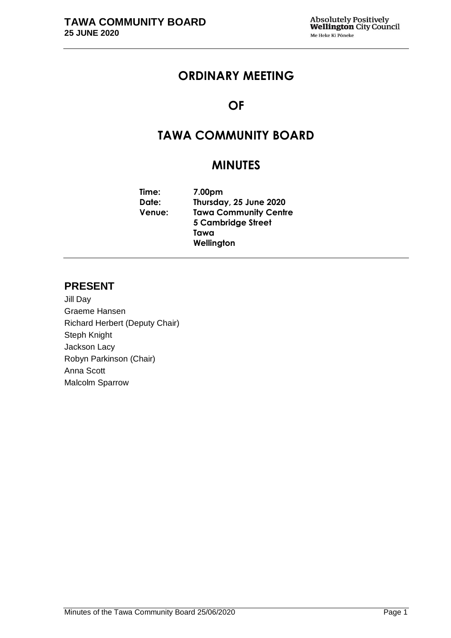# **ORDINARY MEETING**

# **OF**

# **TAWA COMMUNITY BOARD**

# **MINUTES**

**Time: 7.00pm Date: Thursday, 25 June 2020 Venue: Tawa Community Centre 5 Cambridge Street Tawa Wellington**

# **PRESENT**

Jill Day Graeme Hansen Richard Herbert (Deputy Chair) Steph Knight Jackson Lacy Robyn Parkinson (Chair) Anna Scott Malcolm Sparrow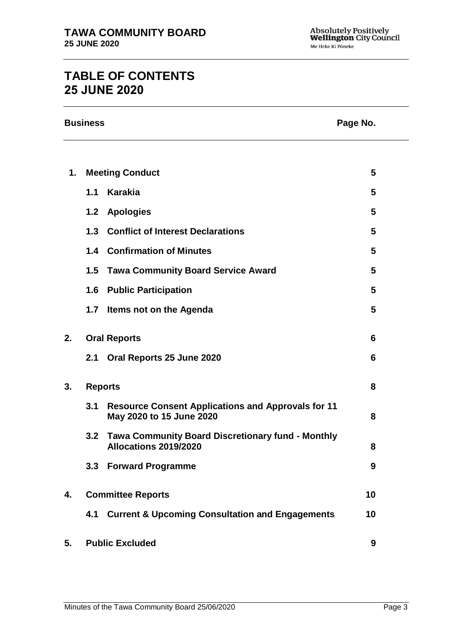# **TABLE OF CONTENTS 25 JUNE 2020**

| <b>Business</b> |                |                                                                                       | Page No. |
|-----------------|----------------|---------------------------------------------------------------------------------------|----------|
| 1.              |                | <b>Meeting Conduct</b>                                                                | 5        |
|                 | 1.1            | <b>Karakia</b>                                                                        | 5        |
|                 | 1.2            | <b>Apologies</b>                                                                      | 5        |
|                 |                | 1.3 Conflict of Interest Declarations                                                 | 5        |
|                 |                | <b>1.4 Confirmation of Minutes</b>                                                    | 5        |
|                 | 1.5            | <b>Tawa Community Board Service Award</b>                                             | 5        |
|                 | 1.6            | <b>Public Participation</b>                                                           | 5        |
|                 | 1.7            | Items not on the Agenda                                                               | 5        |
| 2.              |                | <b>Oral Reports</b>                                                                   | 6        |
|                 | 2.1            | Oral Reports 25 June 2020                                                             | 6        |
| 3.              | <b>Reports</b> |                                                                                       | 8        |
|                 | 3.1            | <b>Resource Consent Applications and Approvals for 11</b><br>May 2020 to 15 June 2020 | 8        |
|                 |                | 3.2 Tawa Community Board Discretionary fund - Monthly<br><b>Allocations 2019/2020</b> | 8        |
|                 | 3.3            | <b>Forward Programme</b>                                                              | 9        |
| 4.              |                | <b>Committee Reports</b>                                                              | 10       |
|                 | 4.1            | <b>Current &amp; Upcoming Consultation and Engagements</b>                            | 10       |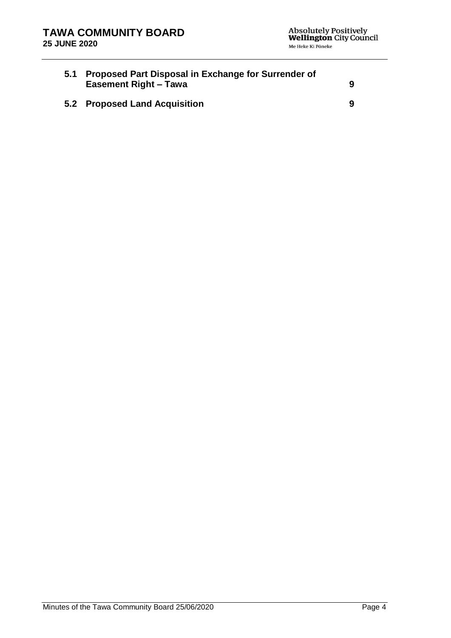| 5.1 Proposed Part Disposal in Exchange for Surrender of<br><b>Easement Right - Tawa</b> | 9 |
|-----------------------------------------------------------------------------------------|---|
| 5.2 Proposed Land Acquisition                                                           | 9 |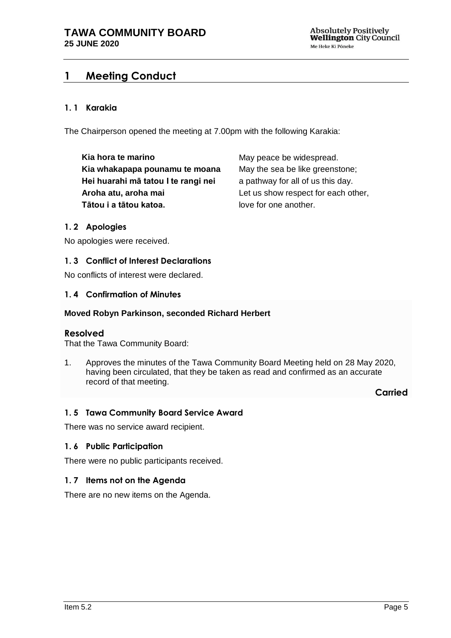# <span id="page-4-0"></span>**1 Meeting Conduct**

### **1. 1 Karakia**

The Chairperson opened the meeting at 7.00pm with the following Karakia:

**Kia hora te marino Kia whakapapa pounamu te moana Hei huarahi mā tatou I te rangi nei Aroha atu, aroha mai Tātou i a tātou katoa.**

May peace be widespread. May the sea be like greenstone; a pathway for all of us this day. Let us show respect for each other, love for one another.

### <span id="page-4-1"></span>**1. 2 Apologies**

No apologies were received.

### <span id="page-4-2"></span>**1. 3 Conflict of Interest Declarations**

No conflicts of interest were declared.

### <span id="page-4-3"></span>**1. 4 Confirmation of Minutes**

#### **Moved Robyn Parkinson, seconded Richard Herbert**

### **Resolved**

That the Tawa Community Board:

1. Approves the minutes of the Tawa Community Board Meeting held on 28 May 2020, having been circulated, that they be taken as read and confirmed as an accurate record of that meeting.

**Carried**

### <span id="page-4-4"></span>**1. 5 Tawa Community Board Service Award**

There was no service award recipient.

#### <span id="page-4-5"></span>**1. 6 Public Participation**

There were no public participants received.

### <span id="page-4-6"></span>**1. 7 Items not on the Agenda**

There are no new items on the Agenda.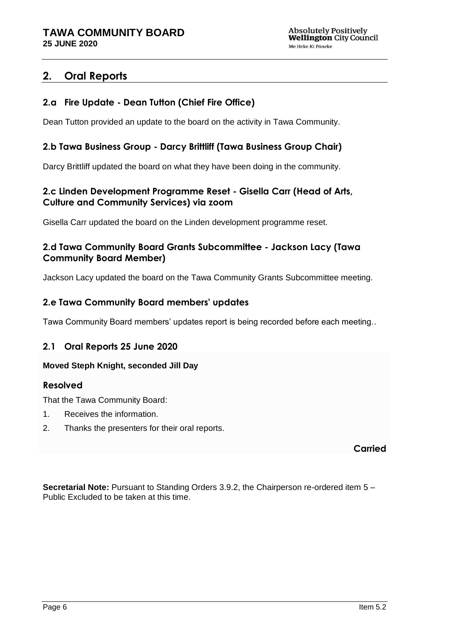# <span id="page-5-0"></span>**2. Oral Reports**

### **2.a Fire Update - Dean Tutton (Chief Fire Office)**

Dean Tutton provided an update to the board on the activity in Tawa Community.

### **2.b Tawa Business Group - Darcy Brittliff (Tawa Business Group Chair)**

Darcy Brittliff updated the board on what they have been doing in the community.

### **2.c Linden Development Programme Reset - Gisella Carr (Head of Arts, Culture and Community Services) via zoom**

Gisella Carr updated the board on the Linden development programme reset.

### **2.d Tawa Community Board Grants Subcommittee - Jackson Lacy (Tawa Community Board Member)**

Jackson Lacy updated the board on the Tawa Community Grants Subcommittee meeting.

### **2.e Tawa Community Board members' updates**

Tawa Community Board members' updates report is being recorded before each meeting..

### <span id="page-5-1"></span>**2.1 Oral Reports 25 June 2020**

### **Moved Steph Knight, seconded Jill Day**

### **Resolved**

That the Tawa Community Board:

- 1. Receives the information.
- 2. Thanks the presenters for their oral reports.

**Carried**

**Secretarial Note:** Pursuant to Standing Orders 3.9.2, the Chairperson re-ordered item 5 – Public Excluded to be taken at this time.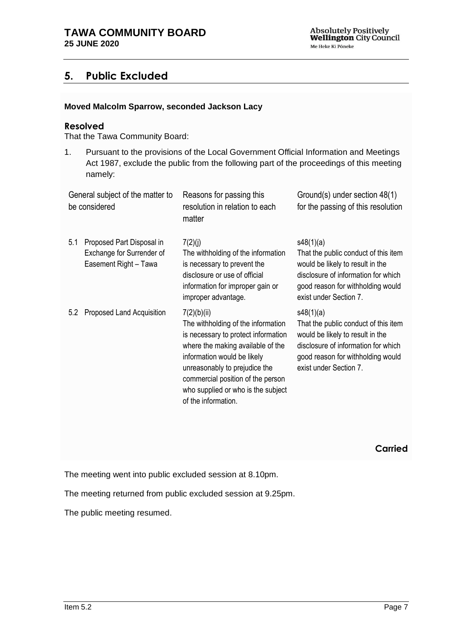# **5. Public Excluded**

### **Moved Malcolm Sparrow, seconded Jackson Lacy**

### **Resolved**

That the Tawa Community Board:

1. Pursuant to the provisions of the Local Government Official Information and Meetings Act 1987, exclude the public from the following part of the proceedings of this meeting namely:

| General subject of the matter to<br>be considered |                                                                                 | Reasons for passing this<br>resolution in relation to each<br>matter                                                                                                                                                                                                                            | Ground(s) under section 48(1)<br>for the passing of this resolution                                                                                                                         |
|---------------------------------------------------|---------------------------------------------------------------------------------|-------------------------------------------------------------------------------------------------------------------------------------------------------------------------------------------------------------------------------------------------------------------------------------------------|---------------------------------------------------------------------------------------------------------------------------------------------------------------------------------------------|
| 5.1                                               | Proposed Part Disposal in<br>Exchange for Surrender of<br>Easement Right - Tawa | 7(2)(j)<br>The withholding of the information<br>is necessary to prevent the<br>disclosure or use of official<br>information for improper gain or<br>improper advantage.                                                                                                                        | s48(1)(a)<br>That the public conduct of this item<br>would be likely to result in the<br>disclosure of information for which<br>good reason for withholding would<br>exist under Section 7. |
| 5.2                                               | Proposed Land Acquisition                                                       | 7(2)(b)(ii)<br>The withholding of the information<br>is necessary to protect information<br>where the making available of the<br>information would be likely<br>unreasonably to prejudice the<br>commercial position of the person<br>who supplied or who is the subject<br>of the information. | s48(1)(a)<br>That the public conduct of this item<br>would be likely to result in the<br>disclosure of information for which<br>good reason for withholding would<br>exist under Section 7. |

**Carried**

The meeting went into public excluded session at 8.10pm.

The meeting returned from public excluded session at 9.25pm.

The public meeting resumed.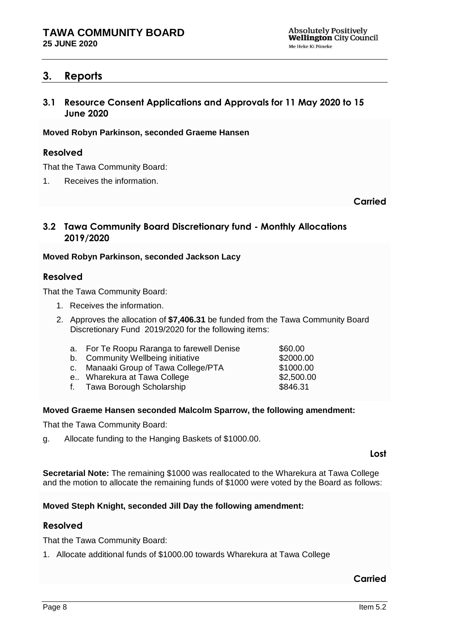## <span id="page-7-0"></span>**3. Reports**

<span id="page-7-1"></span>**3.1 Resource Consent Applications and Approvals for 11 May 2020 to 15 June 2020**

### **Moved Robyn Parkinson, seconded Graeme Hansen**

### **Resolved**

That the Tawa Community Board:

1. Receives the information.

**Carried**

### <span id="page-7-2"></span>**3.2 Tawa Community Board Discretionary fund - Monthly Allocations 2019/2020**

### **Moved Robyn Parkinson, seconded Jackson Lacy**

### **Resolved**

That the Tawa Community Board:

- 1. Receives the information.
- 2. Approves the allocation of **\$7,406.31** be funded from the Tawa Community Board Discretionary Fund 2019/2020 for the following items:

| a. For Te Roopu Raranga to farewell Denise                  | \$60.00                                                             |
|-------------------------------------------------------------|---------------------------------------------------------------------|
| b. Community Wellbeing initiative                           | \$2000.00                                                           |
| c. Manaaki Group of Tawa College/PTA                        | \$1000.00                                                           |
| e Wharekura at Tawa College                                 | \$2,500.00                                                          |
| $\epsilon$ . The set of $\epsilon$ is the set of $\epsilon$ | $\mathbf{A} \mathbf{A} \mathbf{A} \mathbf{A} \mathbf{A} \mathbf{A}$ |

#### f. Tawa Borough Scholarship **\$846.31**

### **Moved Graeme Hansen seconded Malcolm Sparrow, the following amendment:**

That the Tawa Community Board:

g. Allocate funding to the Hanging Baskets of \$1000.00.

**Lost**

**Secretarial Note:** The remaining \$1000 was reallocated to the Wharekura at Tawa College and the motion to allocate the remaining funds of \$1000 were voted by the Board as follows:

### **Moved Steph Knight, seconded Jill Day the following amendment:**

### **Resolved**

That the Tawa Community Board:

1. Allocate additional funds of \$1000.00 towards Wharekura at Tawa College

## **Carried**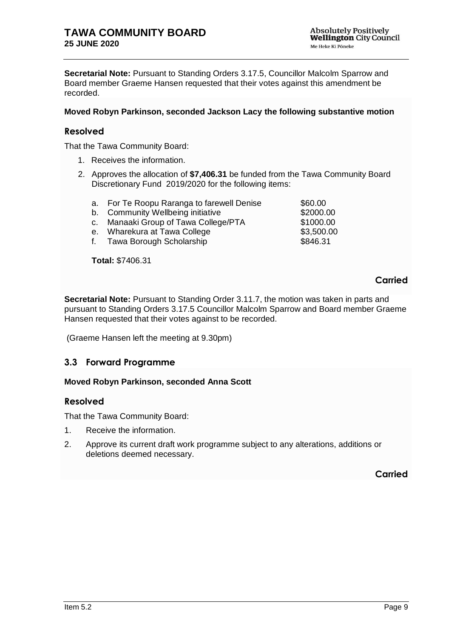**Secretarial Note:** Pursuant to Standing Orders 3.17.5, Councillor Malcolm Sparrow and Board member Graeme Hansen requested that their votes against this amendment be recorded.

### **Moved Robyn Parkinson, seconded Jackson Lacy the following substantive motion**

### **Resolved**

That the Tawa Community Board:

- 1. Receives the information.
- 2. Approves the allocation of **\$7,406.31** be funded from the Tawa Community Board Discretionary Fund 2019/2020 for the following items:
- a. For Te Roopu Raranga to farewell Denise \$60.00 b. Community Wellbeing initiative **\$2000.00** c. Manaaki Group of Tawa College/PTA \$1000.00 e. Wharekura at Tawa College **\$3,500.00** f. Tawa Borough Scholarship **\$846.31**

**Total:** \$7406.31

### **Carried**

**Secretarial Note:** Pursuant to Standing Order 3.11.7, the motion was taken in parts and pursuant to Standing Orders 3.17.5 Councillor Malcolm Sparrow and Board member Graeme Hansen requested that their votes against to be recorded.

(Graeme Hansen left the meeting at 9.30pm)

### <span id="page-8-0"></span>**3.3 Forward Programme**

### **Moved Robyn Parkinson, seconded Anna Scott**

### **Resolved**

That the Tawa Community Board:

- 1. Receive the information.
- 2. Approve its current draft work programme subject to any alterations, additions or deletions deemed necessary.

**Carried**